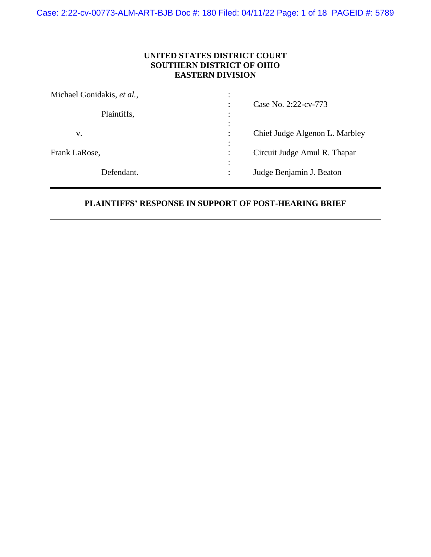Case: 2:22-cv-00773-ALM-ART-BJB Doc #: 180 Filed: 04/11/22 Page: 1 of 18 PAGEID #: 5789

# **UNITED STATES DISTRICT COURT SOUTHERN DISTRICT OF OHIO EASTERN DIVISION**

| Michael Gonidakis, et al., | ٠<br>$\bullet$                                        |
|----------------------------|-------------------------------------------------------|
| Plaintiffs,                | Case No. 2:22-cv-773<br>٠<br>٠<br>$\bullet$<br>٠      |
| v.                         | $\bullet$<br>Chief Judge Algenon L. Marbley<br>٠<br>٠ |
| Frank LaRose,              | $\cdot$<br>Circuit Judge Amul R. Thapar<br>٠<br>٠     |
| Defendant.                 | $\bullet$<br>Judge Benjamin J. Beaton<br>٠            |

# **PLAINTIFFS' RESPONSE IN SUPPORT OF POST-HEARING BRIEF**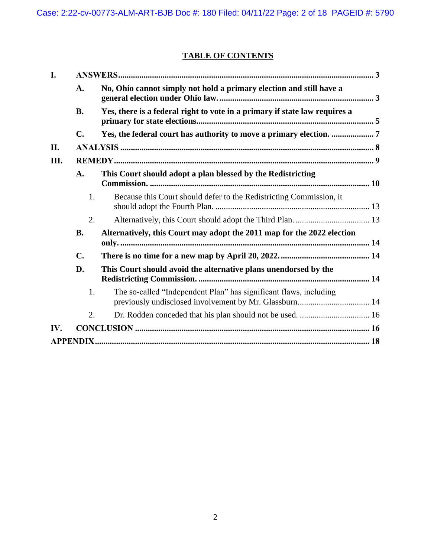# **TABLE OF CONTENTS**

| I.  |                |                                                                            |  |
|-----|----------------|----------------------------------------------------------------------------|--|
|     | $\mathbf{A}$ . | No, Ohio cannot simply not hold a primary election and still have a        |  |
|     | <b>B.</b>      | Yes, there is a federal right to vote in a primary if state law requires a |  |
|     | $\mathbf{C}$ . |                                                                            |  |
| Π.  |                |                                                                            |  |
| Ш.  |                |                                                                            |  |
|     | $\mathbf{A}$ . | This Court should adopt a plan blessed by the Redistricting                |  |
|     | 1.             | Because this Court should defer to the Redistricting Commission, it        |  |
|     | 2.             |                                                                            |  |
|     | <b>B.</b>      | Alternatively, this Court may adopt the 2011 map for the 2022 election     |  |
|     | $\mathbf{C}$ . |                                                                            |  |
|     | D.             | This Court should avoid the alternative plans unendorsed by the            |  |
|     | 1.             | The so-called "Independent Plan" has significant flaws, including          |  |
|     | 2.             |                                                                            |  |
| IV. |                |                                                                            |  |
|     |                |                                                                            |  |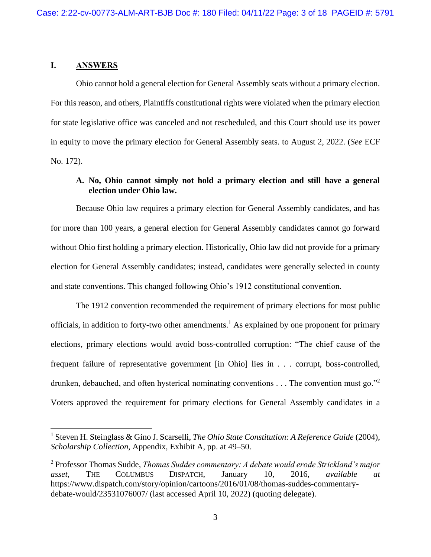### <span id="page-2-0"></span>**I. ANSWERS**

Ohio cannot hold a general election for General Assembly seats without a primary election. For this reason, and others, Plaintiffs constitutional rights were violated when the primary election for state legislative office was canceled and not rescheduled, and this Court should use its power in equity to move the primary election for General Assembly seats. to August 2, 2022. (*See* ECF No. 172).

### <span id="page-2-1"></span>**A. No, Ohio cannot simply not hold a primary election and still have a general election under Ohio law.**

Because Ohio law requires a primary election for General Assembly candidates, and has for more than 100 years, a general election for General Assembly candidates cannot go forward without Ohio first holding a primary election. Historically, Ohio law did not provide for a primary election for General Assembly candidates; instead, candidates were generally selected in county and state conventions. This changed following Ohio's 1912 constitutional convention.

The 1912 convention recommended the requirement of primary elections for most public officials, in addition to forty-two other amendments.<sup>1</sup> As explained by one proponent for primary elections, primary elections would avoid boss-controlled corruption: "The chief cause of the frequent failure of representative government [in Ohio] lies in . . . corrupt, boss-controlled, drunken, debauched, and often hysterical nominating conventions  $\dots$ . The convention must go."<sup>2</sup> Voters approved the requirement for primary elections for General Assembly candidates in a

<sup>1</sup> Steven H. Steinglass & Gino J. Scarselli, *The Ohio State Constitution: A Reference Guide* (2004), *Scholarship Collection*, Appendix, Exhibit A, pp. at 49–50.

<sup>2</sup> Professor Thomas Sudde, *Thomas Suddes commentary: A debate would erode Strickland's major asset*, THE COLUMBUS DISPATCH, January 10, 2016, *available at*  https://www.dispatch.com/story/opinion/cartoons/2016/01/08/thomas-suddes-commentarydebate-would/23531076007/ (last accessed April 10, 2022) (quoting delegate).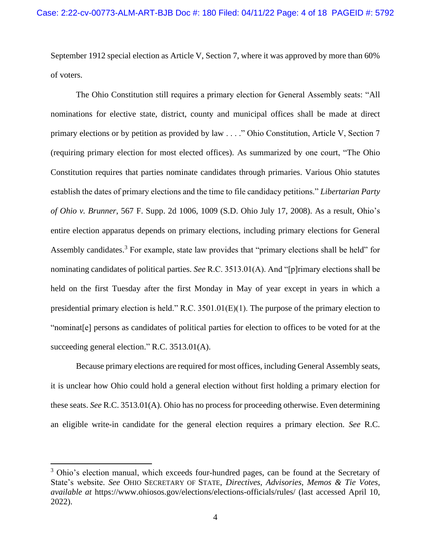September 1912 special election as Article V, Section 7, where it was approved by more than 60% of voters.

The Ohio Constitution still requires a primary election for General Assembly seats: "All nominations for elective state, district, county and municipal offices shall be made at direct primary elections or by petition as provided by law . . . ." Ohio Constitution, Article V, Section 7 (requiring primary election for most elected offices). As summarized by one court, "The Ohio Constitution requires that parties nominate candidates through primaries. Various Ohio statutes establish the dates of primary elections and the time to file candidacy petitions." *Libertarian Party of Ohio v. Brunner*, 567 F. Supp. 2d 1006, 1009 (S.D. Ohio July 17, 2008). As a result, Ohio's entire election apparatus depends on primary elections, including primary elections for General Assembly candidates.<sup>3</sup> For example, state law provides that "primary elections shall be held" for nominating candidates of political parties. *See* R.C. 3513.01(A). And "[p]rimary elections shall be held on the first Tuesday after the first Monday in May of year except in years in which a presidential primary election is held." R.C. 3501.01(E)(1). The purpose of the primary election to "nominat[e] persons as candidates of political parties for election to offices to be voted for at the succeeding general election." R.C. 3513.01(A).

Because primary elections are required for most offices, including General Assembly seats, it is unclear how Ohio could hold a general election without first holding a primary election for these seats. *See* R.C. 3513.01(A). Ohio has no process for proceeding otherwise. Even determining an eligible write-in candidate for the general election requires a primary election. *See* R.C.

<sup>&</sup>lt;sup>3</sup> Ohio's election manual, which exceeds four-hundred pages, can be found at the Secretary of State's website. *See* OHIO SECRETARY OF STATE, *Directives, Advisories, Memos & Tie Votes*, *available at* https://www.ohiosos.gov/elections/elections-officials/rules/ (last accessed April 10, 2022).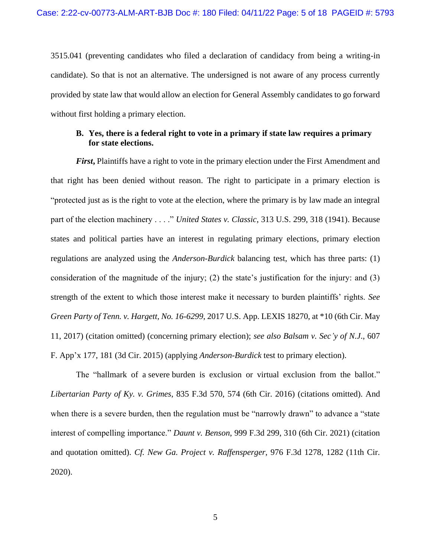3515.041 (preventing candidates who filed a declaration of candidacy from being a writing-in candidate). So that is not an alternative. The undersigned is not aware of any process currently provided by state law that would allow an election for General Assembly candidates to go forward without first holding a primary election.

### <span id="page-4-0"></span>**B. Yes, there is a federal right to vote in a primary if state law requires a primary for state elections.**

*First*, Plaintiffs have a right to vote in the primary election under the First Amendment and that right has been denied without reason. The right to participate in a primary election is "protected just as is the right to vote at the election, where the primary is by law made an integral part of the election machinery . . . ." *United States v. Classic*, 313 U.S. 299, 318 (1941). Because states and political parties have an interest in regulating primary elections, primary election regulations are analyzed using the *Anderson-Burdick* balancing test, which has three parts: (1) consideration of the magnitude of the injury; (2) the state's justification for the injury: and (3) strength of the extent to which those interest make it necessary to burden plaintiffs' rights. *See Green Party of Tenn. v. Hargett, No. 16-6299*, 2017 U.S. App. LEXIS 18270, at \*10 (6th Cir. May 11, 2017) (citation omitted) (concerning primary election); *see also Balsam v. Sec'y of N.J*., 607 F. App'x 177, 181 (3d Cir. 2015) (applying *Anderson-Burdick* test to primary election).

The "hallmark of a severe burden is exclusion or virtual exclusion from the ballot." *Libertarian Party of Ky. v. Grimes*, 835 F.3d 570, 574 (6th Cir. 2016) (citations omitted). And when there is a severe burden, then the regulation must be "narrowly drawn" to advance a "state interest of compelling importance." *Daunt v. Benson*, 999 F.3d 299, 310 (6th Cir. 2021) (citation and quotation omitted). *Cf. New Ga. Project v. Raffensperger*, 976 F.3d 1278, 1282 (11th Cir. 2020).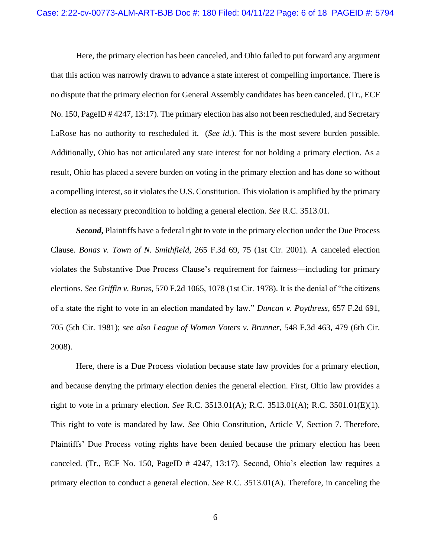Here, the primary election has been canceled, and Ohio failed to put forward any argument that this action was narrowly drawn to advance a state interest of compelling importance. There is no dispute that the primary election for General Assembly candidates has been canceled. (Tr., ECF No. 150, PageID # 4247, 13:17). The primary election has also not been rescheduled, and Secretary LaRose has no authority to rescheduled it. (*See id.*). This is the most severe burden possible. Additionally, Ohio has not articulated any state interest for not holding a primary election. As a result, Ohio has placed a severe burden on voting in the primary election and has done so without a compelling interest, so it violates the U.S. Constitution. This violation is amplified by the primary election as necessary precondition to holding a general election. *See* R.C. 3513.01.

**Second, Plaintiffs have a federal right to vote in the primary election under the Due Process** Clause. *Bonas v. Town of N. Smithfield*, 265 F.3d 69, 75 (1st Cir. 2001). A canceled election violates the Substantive Due Process Clause's requirement for fairness—including for primary elections. *See Griffin v. Burns*, 570 F.2d 1065, 1078 (1st Cir. 1978). It is the denial of "the citizens of a state the right to vote in an election mandated by law." *Duncan v. Poythress*, 657 F.2d 691, 705 (5th Cir. 1981); *see also League of Women Voters v. Brunner*, 548 F.3d 463, 479 (6th Cir. 2008).

Here, there is a Due Process violation because state law provides for a primary election, and because denying the primary election denies the general election. First, Ohio law provides a right to vote in a primary election. *See* R.C. 3513.01(A); R.C. 3513.01(A); R.C. 3501.01(E)(1). This right to vote is mandated by law. *See* Ohio Constitution, Article V, Section 7. Therefore, Plaintiffs' Due Process voting rights have been denied because the primary election has been canceled. (Tr., ECF No. 150, PageID # 4247, 13:17). Second, Ohio's election law requires a primary election to conduct a general election. *See* R.C. 3513.01(A). Therefore, in canceling the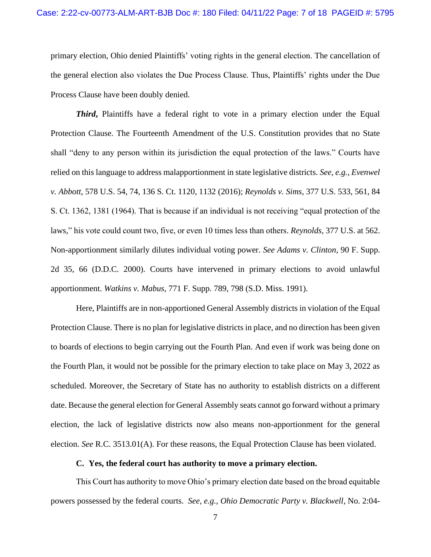primary election, Ohio denied Plaintiffs' voting rights in the general election. The cancellation of the general election also violates the Due Process Clause. Thus, Plaintiffs' rights under the Due Process Clause have been doubly denied.

*Third*, Plaintiffs have a federal right to vote in a primary election under the Equal Protection Clause. The Fourteenth Amendment of the U.S. Constitution provides that no State shall "deny to any person within its jurisdiction the equal protection of the laws." Courts have relied on this language to address malapportionment in state legislative districts. *See, e.g.*, *Evenwel v. Abbott*, 578 U.S. 54, 74, 136 S. Ct. 1120, 1132 (2016); *Reynolds v. Sims*, 377 U.S. 533, 561, 84 S. Ct. 1362, 1381 (1964). That is because if an individual is not receiving "equal protection of the laws," his vote could count two, five, or even 10 times less than others. *Reynolds*, 377 U.S. at 562. Non-apportionment similarly dilutes individual voting power. *See Adams v. Clinton*, 90 F. Supp. 2d 35, 66 (D.D.C. 2000). Courts have intervened in primary elections to avoid unlawful apportionment. *Watkins v. Mabus*, 771 F. Supp. 789, 798 (S.D. Miss. 1991).

Here, Plaintiffs are in non-apportioned General Assembly districts in violation of the Equal Protection Clause. There is no plan for legislative districts in place, and no direction has been given to boards of elections to begin carrying out the Fourth Plan. And even if work was being done on the Fourth Plan, it would not be possible for the primary election to take place on May 3, 2022 as scheduled. Moreover, the Secretary of State has no authority to establish districts on a different date. Because the general election for General Assembly seats cannot go forward without a primary election, the lack of legislative districts now also means non-apportionment for the general election. *See* R.C. 3513.01(A). For these reasons, the Equal Protection Clause has been violated.

#### **C. Yes, the federal court has authority to move a primary election.**

<span id="page-6-0"></span>This Court has authority to move Ohio's primary election date based on the broad equitable powers possessed by the federal courts. *See, e.g.*, *Ohio Democratic Party v. Blackwell*, No. 2:04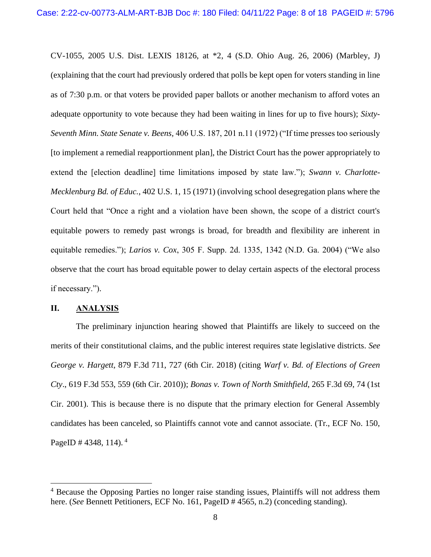CV-1055, 2005 U.S. Dist. LEXIS 18126, at \*2, 4 (S.D. Ohio Aug. 26, 2006) (Marbley, J) (explaining that the court had previously ordered that polls be kept open for voters standing in line as of 7:30 p.m. or that voters be provided paper ballots or another mechanism to afford votes an adequate opportunity to vote because they had been waiting in lines for up to five hours); *Sixty-Seventh Minn. State Senate v. Beens,* 406 U.S. 187, 201 n.11 (1972) ("If time presses too seriously [to implement a remedial reapportionment plan], the District Court has the power appropriately to extend the [election deadline] time limitations imposed by state law."); *Swann v. Charlotte-Mecklenburg Bd. of Educ.*, 402 U.S. 1, 15 (1971) (involving school desegregation plans where the Court held that "Once a right and a violation have been shown, the scope of a district court's equitable powers to remedy past wrongs is broad, for breadth and flexibility are inherent in equitable remedies."); *Larios v. Cox*, 305 F. Supp. 2d. 1335, 1342 (N.D. Ga. 2004) ("We also observe that the court has broad equitable power to delay certain aspects of the electoral process if necessary.").

### <span id="page-7-0"></span>**II. ANALYSIS**

The preliminary injunction hearing showed that Plaintiffs are likely to succeed on the merits of their constitutional claims, and the public interest requires state legislative districts. *See George v. Hargett*, 879 F.3d 711, 727 (6th Cir. 2018) (citing *Warf v. Bd. of Elections of Green Cty*., 619 F.3d 553, 559 (6th Cir. 2010)); *Bonas v. Town of North Smithfield*, 265 F.3d 69, 74 (1st Cir. 2001). This is because there is no dispute that the primary election for General Assembly candidates has been canceled, so Plaintiffs cannot vote and cannot associate. (Tr., ECF No. 150, PageID # 4348, 114).  $4^4$ 

<sup>&</sup>lt;sup>4</sup> Because the Opposing Parties no longer raise standing issues, Plaintiffs will not address them here. (*See* Bennett Petitioners, ECF No. 161, PageID # 4565, n.2) (conceding standing).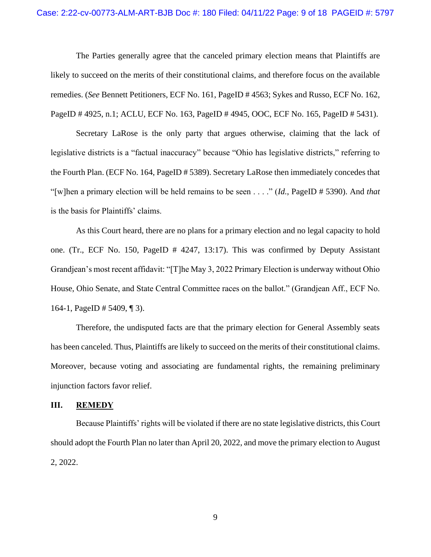The Parties generally agree that the canceled primary election means that Plaintiffs are likely to succeed on the merits of their constitutional claims, and therefore focus on the available remedies. (*See* Bennett Petitioners, ECF No. 161, PageID # 4563; Sykes and Russo, ECF No. 162, PageID # 4925, n.1; ACLU, ECF No. 163, PageID # 4945, OOC, ECF No. 165, PageID # 5431).

Secretary LaRose is the only party that argues otherwise, claiming that the lack of legislative districts is a "factual inaccuracy" because "Ohio has legislative districts," referring to the Fourth Plan. (ECF No. 164, PageID # 5389). Secretary LaRose then immediately concedes that "[w]hen a primary election will be held remains to be seen . . . ." (*Id.*, PageID # 5390). And *that* is the basis for Plaintiffs' claims.

As this Court heard, there are no plans for a primary election and no legal capacity to hold one. (Tr., ECF No. 150, PageID # 4247, 13:17). This was confirmed by Deputy Assistant Grandjean's most recent affidavit: "[T]he May 3, 2022 Primary Election is underway without Ohio House, Ohio Senate, and State Central Committee races on the ballot." (Grandjean Aff., ECF No. 164-1, PageID # 5409, ¶ 3).

Therefore, the undisputed facts are that the primary election for General Assembly seats has been canceled. Thus, Plaintiffs are likely to succeed on the merits of their constitutional claims. Moreover, because voting and associating are fundamental rights, the remaining preliminary injunction factors favor relief.

#### <span id="page-8-0"></span>**III. REMEDY**

Because Plaintiffs' rights will be violated if there are no state legislative districts, this Court should adopt the Fourth Plan no later than April 20, 2022, and move the primary election to August 2, 2022.

9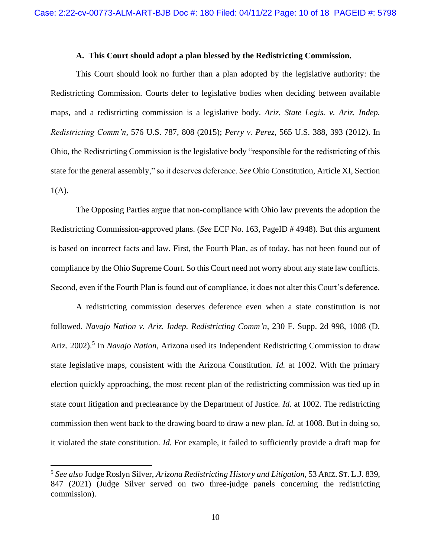#### **A. This Court should adopt a plan blessed by the Redistricting Commission.**

<span id="page-9-0"></span>This Court should look no further than a plan adopted by the legislative authority: the Redistricting Commission. Courts defer to legislative bodies when deciding between available maps, and a redistricting commission is a legislative body. *Ariz. State Legis. v. Ariz. Indep. Redistricting Comm'n*, 576 U.S. 787, 808 (2015); *Perry v. Perez*, 565 U.S. 388, 393 (2012). In Ohio, the Redistricting Commission is the legislative body "responsible for the redistricting of this state for the general assembly," so it deserves deference. *See* Ohio Constitution, Article XI, Section  $1(A)$ .

The Opposing Parties argue that non-compliance with Ohio law prevents the adoption the Redistricting Commission-approved plans. (*See* ECF No. 163, PageID # 4948). But this argument is based on incorrect facts and law. First, the Fourth Plan, as of today, has not been found out of compliance by the Ohio Supreme Court. So this Court need not worry about any state law conflicts. Second, even if the Fourth Plan is found out of compliance, it does not alter this Court's deference.

A redistricting commission deserves deference even when a state constitution is not followed. *Navajo Nation v. Ariz. Indep. Redistricting Comm'n*, 230 F. Supp. 2d 998, 1008 (D. Ariz. 2002).<sup>5</sup> In *Navajo Nation*, Arizona used its Independent Redistricting Commission to draw state legislative maps, consistent with the Arizona Constitution. *Id.* at 1002. With the primary election quickly approaching, the most recent plan of the redistricting commission was tied up in state court litigation and preclearance by the Department of Justice. *Id.* at 1002. The redistricting commission then went back to the drawing board to draw a new plan. *Id.* at 1008. But in doing so, it violated the state constitution. *Id.* For example, it failed to sufficiently provide a draft map for

<sup>5</sup> *See also* Judge Roslyn Silver, *Arizona Redistricting History and Litigation*, 53 ARIZ. ST. L.J. 839, 847 (2021) (Judge Silver served on two three-judge panels concerning the redistricting commission).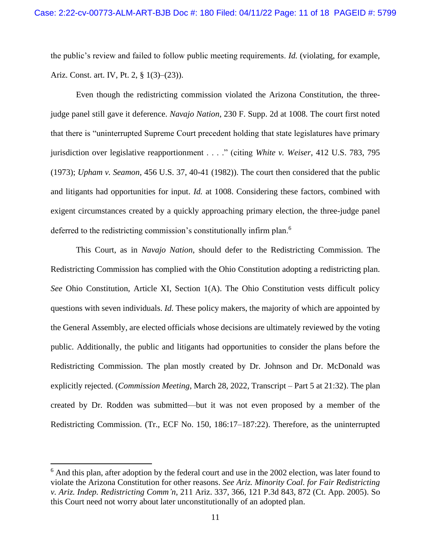the public's review and failed to follow public meeting requirements. *Id.* (violating, for example, Ariz. Const. art. IV, Pt. 2, § 1(3)–(23)).

Even though the redistricting commission violated the Arizona Constitution, the threejudge panel still gave it deference. *Navajo Nation*, 230 F. Supp. 2d at 1008. The court first noted that there is "uninterrupted Supreme Court precedent holding that state legislatures have primary jurisdiction over legislative reapportionment . . . ." (citing *White v. Weiser*, 412 U.S. 783, 795 (1973); *Upham v. Seamon*, 456 U.S. 37, 40-41 (1982)). The court then considered that the public and litigants had opportunities for input. *Id.* at 1008. Considering these factors, combined with exigent circumstances created by a quickly approaching primary election, the three-judge panel deferred to the redistricting commission's constitutionally infirm plan.<sup>6</sup>

This Court, as in *Navajo Nation*, should defer to the Redistricting Commission. The Redistricting Commission has complied with the Ohio Constitution adopting a redistricting plan. *See* Ohio Constitution, Article XI, Section 1(A). The Ohio Constitution vests difficult policy questions with seven individuals. *Id.* These policy makers, the majority of which are appointed by the General Assembly, are elected officials whose decisions are ultimately reviewed by the voting public. Additionally, the public and litigants had opportunities to consider the plans before the Redistricting Commission. The plan mostly created by Dr. Johnson and Dr. McDonald was explicitly rejected. (*Commission Meeting*, March 28, 2022, Transcript – Part 5 at 21:32). The plan created by Dr. Rodden was submitted—but it was not even proposed by a member of the Redistricting Commission. (Tr., ECF No. 150, 186:17–187:22). Therefore, as the uninterrupted

 $6$  And this plan, after adoption by the federal court and use in the 2002 election, was later found to violate the Arizona Constitution for other reasons. *See Ariz. Minority Coal. for Fair Redistricting v. Ariz. Indep. Redistricting Comm'n*, 211 Ariz. 337, 366, 121 P.3d 843, 872 (Ct. App. 2005). So this Court need not worry about later unconstitutionally of an adopted plan.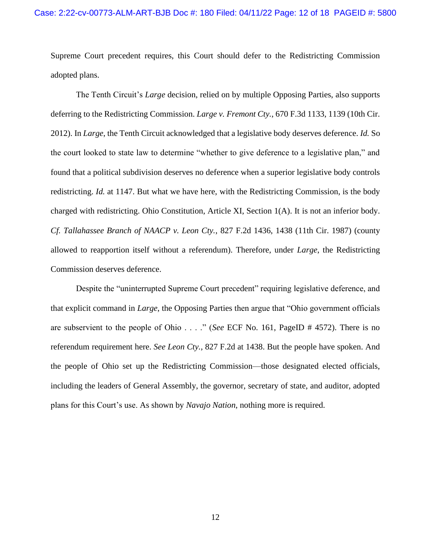Supreme Court precedent requires, this Court should defer to the Redistricting Commission adopted plans.

The Tenth Circuit's *Large* decision, relied on by multiple Opposing Parties, also supports deferring to the Redistricting Commission. *Large v. Fremont Cty.*, 670 F.3d 1133, 1139 (10th Cir. 2012). In *Large*, the Tenth Circuit acknowledged that a legislative body deserves deference. *Id.* So the court looked to state law to determine "whether to give deference to a legislative plan," and found that a political subdivision deserves no deference when a superior legislative body controls redistricting. *Id.* at 1147. But what we have here, with the Redistricting Commission, is the body charged with redistricting. Ohio Constitution, Article XI, Section 1(A). It is not an inferior body. *Cf. Tallahassee Branch of NAACP v. Leon Cty.*, 827 F.2d 1436, 1438 (11th Cir. 1987) (county allowed to reapportion itself without a referendum). Therefore, under *Large*, the Redistricting Commission deserves deference.

Despite the "uninterrupted Supreme Court precedent" requiring legislative deference, and that explicit command in *Large*, the Opposing Parties then argue that "Ohio government officials are subservient to the people of Ohio . . . ." (*See* ECF No. 161, PageID # 4572). There is no referendum requirement here. *See Leon Cty.*, 827 F.2d at 1438. But the people have spoken. And the people of Ohio set up the Redistricting Commission—those designated elected officials, including the leaders of General Assembly, the governor, secretary of state, and auditor, adopted plans for this Court's use. As shown by *Navajo Nation*, nothing more is required.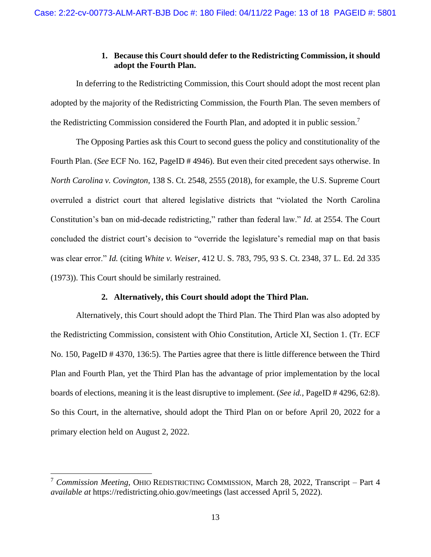### **1. Because this Court should defer to the Redistricting Commission, it should adopt the Fourth Plan.**

<span id="page-12-0"></span>In deferring to the Redistricting Commission, this Court should adopt the most recent plan adopted by the majority of the Redistricting Commission, the Fourth Plan. The seven members of the Redistricting Commission considered the Fourth Plan, and adopted it in public session.<sup>7</sup>

The Opposing Parties ask this Court to second guess the policy and constitutionality of the Fourth Plan. (*See* ECF No. 162, PageID # 4946). But even their cited precedent says otherwise. In *North Carolina v. Covington*, 138 S. Ct. 2548, 2555 (2018), for example, the U.S. Supreme Court overruled a district court that altered legislative districts that "violated the North Carolina Constitution's ban on mid-decade redistricting," rather than federal law." *Id.* at 2554. The Court concluded the district court's decision to "override the legislature's remedial map on that basis was clear error." *Id.* (citing *White v. Weiser*, 412 U. S. 783, 795, 93 S. Ct. 2348, 37 L. Ed. 2d 335 (1973)). This Court should be similarly restrained.

### **2. Alternatively, this Court should adopt the Third Plan.**

<span id="page-12-1"></span>Alternatively, this Court should adopt the Third Plan. The Third Plan was also adopted by the Redistricting Commission, consistent with Ohio Constitution, Article XI, Section 1. (Tr. ECF No. 150, PageID # 4370, 136:5). The Parties agree that there is little difference between the Third Plan and Fourth Plan, yet the Third Plan has the advantage of prior implementation by the local boards of elections, meaning it is the least disruptive to implement. (*See id.*, PageID # 4296, 62:8). So this Court, in the alternative, should adopt the Third Plan on or before April 20, 2022 for a primary election held on August 2, 2022.

<sup>7</sup> *Commission Meeting*, OHIO REDISTRICTING COMMISSION, March 28, 2022, Transcript – Part 4 *available at* https://redistricting.ohio.gov/meetings (last accessed April 5, 2022).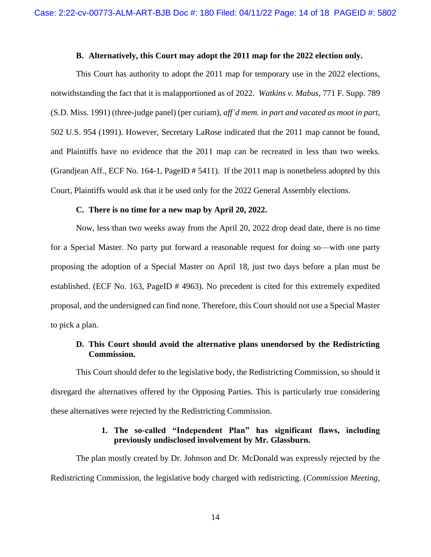#### **B. Alternatively, this Court may adopt the 2011 map for the 2022 election only.**

<span id="page-13-0"></span>This Court has authority to adopt the 2011 map for temporary use in the 2022 elections, notwithstanding the fact that it is malapportioned as of 2022. *Watkins v. Mabus*, 771 F. Supp. 789 (S.D. Miss. 1991) (three-judge panel) (per curiam), *aff'd mem. in part and vacated as moot in part*, 502 U.S. 954 (1991). However, Secretary LaRose indicated that the 2011 map cannot be found, and Plaintiffs have no evidence that the 2011 map can be recreated in less than two weeks. (Grandjean Aff., ECF No. 164-1, PageID # 5411). If the 2011 map is nonetheless adopted by this Court, Plaintiffs would ask that it be used only for the 2022 General Assembly elections.

#### **C. There is no time for a new map by April 20, 2022.**

<span id="page-13-1"></span>Now, less than two weeks away from the April 20, 2022 drop dead date, there is no time for a Special Master. No party put forward a reasonable request for doing so—with one party proposing the adoption of a Special Master on April 18, just two days before a plan must be established. (ECF No. 163, PageID # 4963). No precedent is cited for this extremely expedited proposal, and the undersigned can find none. Therefore, this Court should not use a Special Master to pick a plan.

## <span id="page-13-2"></span>**D. This Court should avoid the alternative plans unendorsed by the Redistricting Commission.**

This Court should defer to the legislative body, the Redistricting Commission, so should it disregard the alternatives offered by the Opposing Parties. This is particularly true considering these alternatives were rejected by the Redistricting Commission.

# **1. The so-called "Independent Plan" has significant flaws, including previously undisclosed involvement by Mr. Glassburn.**

<span id="page-13-3"></span>The plan mostly created by Dr. Johnson and Dr. McDonald was expressly rejected by the Redistricting Commission, the legislative body charged with redistricting. (*Commission Meeting*,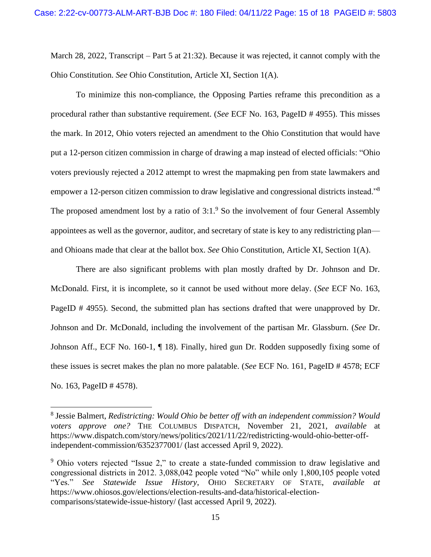March 28, 2022, Transcript – Part 5 at 21:32). Because it was rejected, it cannot comply with the Ohio Constitution. *See* Ohio Constitution, Article XI, Section 1(A).

To minimize this non-compliance, the Opposing Parties reframe this precondition as a procedural rather than substantive requirement. (*See* ECF No. 163, PageID # 4955). This misses the mark. In 2012, Ohio voters rejected an amendment to the Ohio Constitution that would have put a 12-person citizen commission in charge of drawing a map instead of elected officials: "Ohio voters previously rejected a 2012 attempt to wrest the mapmaking pen from state lawmakers and empower a 12-person citizen commission to draw legislative and congressional districts instead."<sup>8</sup> The proposed amendment lost by a ratio of  $3:1.^9$  So the involvement of four General Assembly appointees as well as the governor, auditor, and secretary of state is key to any redistricting plan and Ohioans made that clear at the ballot box. *See* Ohio Constitution, Article XI, Section 1(A).

There are also significant problems with plan mostly drafted by Dr. Johnson and Dr. McDonald. First, it is incomplete, so it cannot be used without more delay. (*See* ECF No. 163, PageID # 4955). Second, the submitted plan has sections drafted that were unapproved by Dr. Johnson and Dr. McDonald, including the involvement of the partisan Mr. Glassburn. (*See* Dr. Johnson Aff., ECF No. 160-1, ¶ 18). Finally, hired gun Dr. Rodden supposedly fixing some of these issues is secret makes the plan no more palatable. (*See* ECF No. 161, PageID # 4578; ECF No. 163, PageID # 4578).

<sup>8</sup> Jessie Balmert, *Redistricting: Would Ohio be better off with an independent commission? Would voters approve one?* THE COLUMBUS DISPATCH, November 21, 2021, *available* at https://www.dispatch.com/story/news/politics/2021/11/22/redistricting-would-ohio-better-offindependent-commission/6352377001/ (last accessed April 9, 2022).

<sup>&</sup>lt;sup>9</sup> Ohio voters rejected "Issue 2," to create a state-funded commission to draw legislative and congressional districts in 2012. 3,088,042 people voted "No" while only 1,800,105 people voted "Yes." *See Statewide Issue History*, OHIO SECRETARY OF STATE, *available at*  https://www.ohiosos.gov/elections/election-results-and-data/historical-electioncomparisons/statewide-issue-history/ (last accessed April 9, 2022).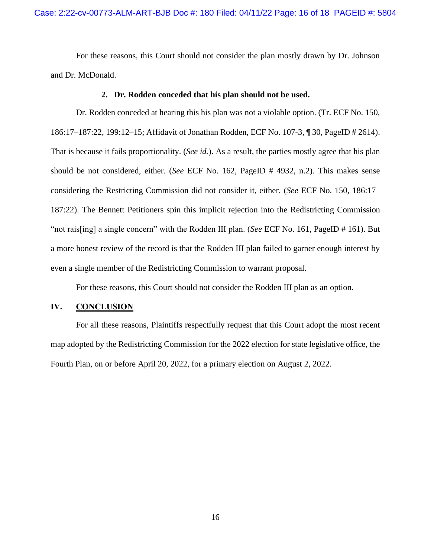For these reasons, this Court should not consider the plan mostly drawn by Dr. Johnson and Dr. McDonald.

#### **2. Dr. Rodden conceded that his plan should not be used.**

<span id="page-15-0"></span>Dr. Rodden conceded at hearing this his plan was not a violable option. (Tr. ECF No. 150, 186:17–187:22, 199:12–15; Affidavit of Jonathan Rodden, ECF No. 107-3, ¶ 30, PageID # 2614). That is because it fails proportionality. (*See id.*). As a result, the parties mostly agree that his plan should be not considered, either. (*See* ECF No. 162, PageID # 4932, n.2). This makes sense considering the Restricting Commission did not consider it, either. (*See* ECF No. 150, 186:17– 187:22). The Bennett Petitioners spin this implicit rejection into the Redistricting Commission "not rais[ing] a single concern" with the Rodden III plan. (*See* ECF No. 161, PageID # 161). But a more honest review of the record is that the Rodden III plan failed to garner enough interest by even a single member of the Redistricting Commission to warrant proposal.

For these reasons, this Court should not consider the Rodden III plan as an option.

### <span id="page-15-1"></span>**IV. CONCLUSION**

For all these reasons, Plaintiffs respectfully request that this Court adopt the most recent map adopted by the Redistricting Commission for the 2022 election for state legislative office, the Fourth Plan, on or before April 20, 2022, for a primary election on August 2, 2022.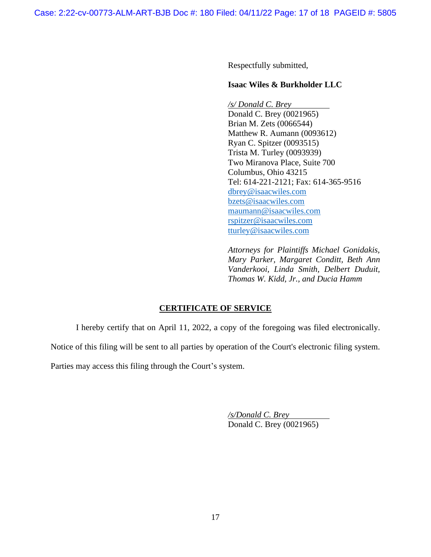Respectfully submitted,

#### **Isaac Wiles & Burkholder LLC**

*/s/ Donald C. Brey* Donald C. Brey (0021965) Brian M. Zets (0066544) Matthew R. Aumann (0093612) Ryan C. Spitzer (0093515) Trista M. Turley (0093939) Two Miranova Place, Suite 700 Columbus, Ohio 43215 Tel: 614-221-2121; Fax: 614-365-9516 [dbrey@isaacwiles.com](mailto:dbrey@isaacwiles.com) [bzets@isaacwiles.com](mailto:bzets@isaacwiles.com) [maumann@isaacwiles.com](mailto:maumann@isaacwiles.com) [rspitzer@isaacwiles.com](mailto:rspitzer@isaacwiles.com) tturley@isaacwiles.com

*Attorneys for Plaintiffs Michael Gonidakis, Mary Parker, Margaret Conditt, Beth Ann Vanderkooi, Linda Smith, Delbert Duduit, Thomas W. Kidd, Jr., and Ducia Hamm* 

### **CERTIFICATE OF SERVICE**

I hereby certify that on April 11, 2022, a copy of the foregoing was filed electronically.

Notice of this filing will be sent to all parties by operation of the Court's electronic filing system.

Parties may access this filing through the Court's system.

*/s/Donald C. Brey* Donald C. Brey (0021965)